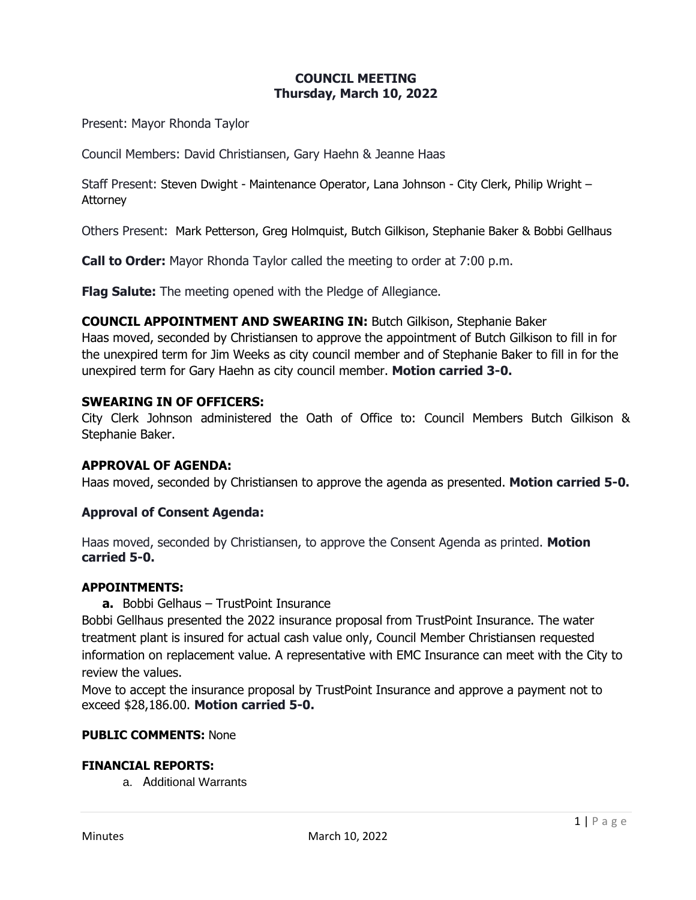## **COUNCIL MEETING Thursday, March 10, 2022**

Present: Mayor Rhonda Taylor

Council Members: David Christiansen, Gary Haehn & Jeanne Haas

Staff Present: Steven Dwight - Maintenance Operator, Lana Johnson - City Clerk, Philip Wright – **Attorney** 

Others Present: Mark Petterson, Greg Holmquist, Butch Gilkison, Stephanie Baker & Bobbi Gellhaus

**Call to Order:** Mayor Rhonda Taylor called the meeting to order at 7:00 p.m.

**Flag Salute:** The meeting opened with the Pledge of Allegiance.

**COUNCIL APPOINTMENT AND SWEARING IN:** Butch Gilkison, Stephanie Baker Haas moved, seconded by Christiansen to approve the appointment of Butch Gilkison to fill in for the unexpired term for Jim Weeks as city council member and of Stephanie Baker to fill in for the unexpired term for Gary Haehn as city council member. **Motion carried 3-0.**

#### **SWEARING IN OF OFFICERS:**

City Clerk Johnson administered the Oath of Office to: Council Members Butch Gilkison & Stephanie Baker.

## **APPROVAL OF AGENDA:**

Haas moved, seconded by Christiansen to approve the agenda as presented. **Motion carried 5-0.**

## **Approval of Consent Agenda:**

Haas moved, seconded by Christiansen, to approve the Consent Agenda as printed. **Motion carried 5-0.**

#### **APPOINTMENTS:**

**a.** Bobbi Gelhaus – TrustPoint Insurance

Bobbi Gellhaus presented the 2022 insurance proposal from TrustPoint Insurance. The water treatment plant is insured for actual cash value only, Council Member Christiansen requested information on replacement value. A representative with EMC Insurance can meet with the City to review the values.

Move to accept the insurance proposal by TrustPoint Insurance and approve a payment not to exceed \$28,186.00. **Motion carried 5-0.**

#### **PUBLIC COMMENTS:** None

#### **FINANCIAL REPORTS:**

a. Additional Warrants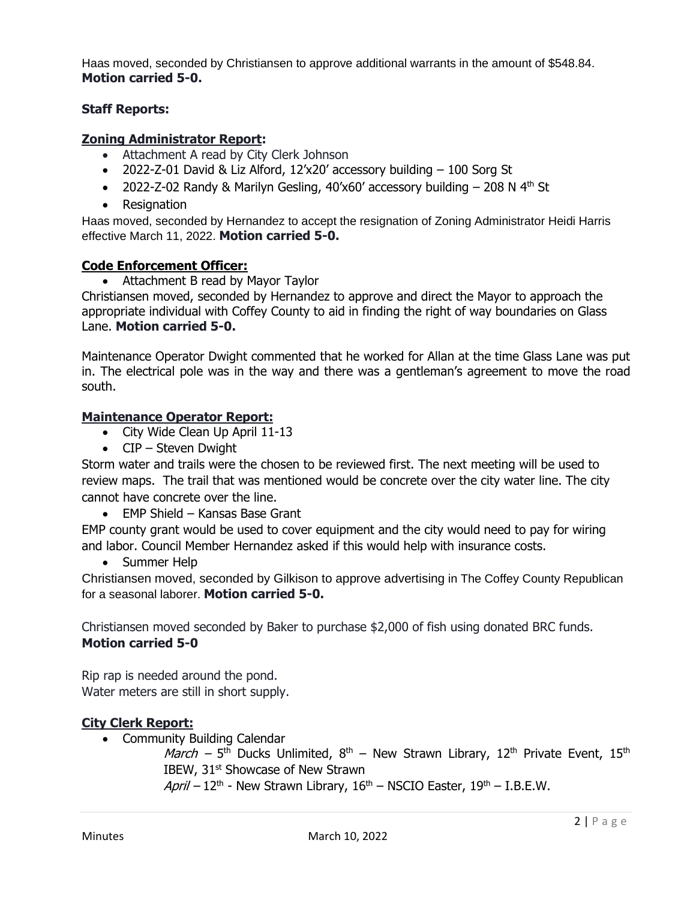Haas moved, seconded by Christiansen to approve additional warrants in the amount of \$548.84. **Motion carried 5-0.**

# **Staff Reports:**

# **Zoning Administrator Report:**

- Attachment A read by City Clerk Johnson
- 2022-Z-01 David & Liz Alford, 12'x20' accessory building 100 Sorg St
- 2022-Z-02 Randy & Marilyn Gesling,  $40'x60'$  accessory building  $-$  208 N  $4<sup>th</sup>$  St
- Resignation

Haas moved, seconded by Hernandez to accept the resignation of Zoning Administrator Heidi Harris effective March 11, 2022. **Motion carried 5-0.**

# **Code Enforcement Officer:**

• Attachment B read by Mayor Taylor

Christiansen moved, seconded by Hernandez to approve and direct the Mayor to approach the appropriate individual with Coffey County to aid in finding the right of way boundaries on Glass Lane. **Motion carried 5-0.**

Maintenance Operator Dwight commented that he worked for Allan at the time Glass Lane was put in. The electrical pole was in the way and there was a gentleman's agreement to move the road south.

# **Maintenance Operator Report:**

- City Wide Clean Up April 11-13
- CIP Steven Dwight

Storm water and trails were the chosen to be reviewed first. The next meeting will be used to review maps. The trail that was mentioned would be concrete over the city water line. The city cannot have concrete over the line.

• EMP Shield – Kansas Base Grant

EMP county grant would be used to cover equipment and the city would need to pay for wiring and labor. Council Member Hernandez asked if this would help with insurance costs.

• Summer Help

Christiansen moved, seconded by Gilkison to approve advertising in The Coffey County Republican for a seasonal laborer. **Motion carried 5-0.**

Christiansen moved seconded by Baker to purchase \$2,000 of fish using donated BRC funds. **Motion carried 5-0**

Rip rap is needed around the pond. Water meters are still in short supply.

# **City Clerk Report:**

• Community Building Calendar

*March –* 5<sup>th</sup> Ducks Unlimited, 8<sup>th</sup> – New Strawn Library, 12<sup>th</sup> Private Event, 15<sup>th</sup> IBEW, 31<sup>st</sup> Showcase of New Strawn

April – 12<sup>th</sup> - New Strawn Library, 16<sup>th</sup> – NSCIO Easter, 19<sup>th</sup> – I.B.E.W.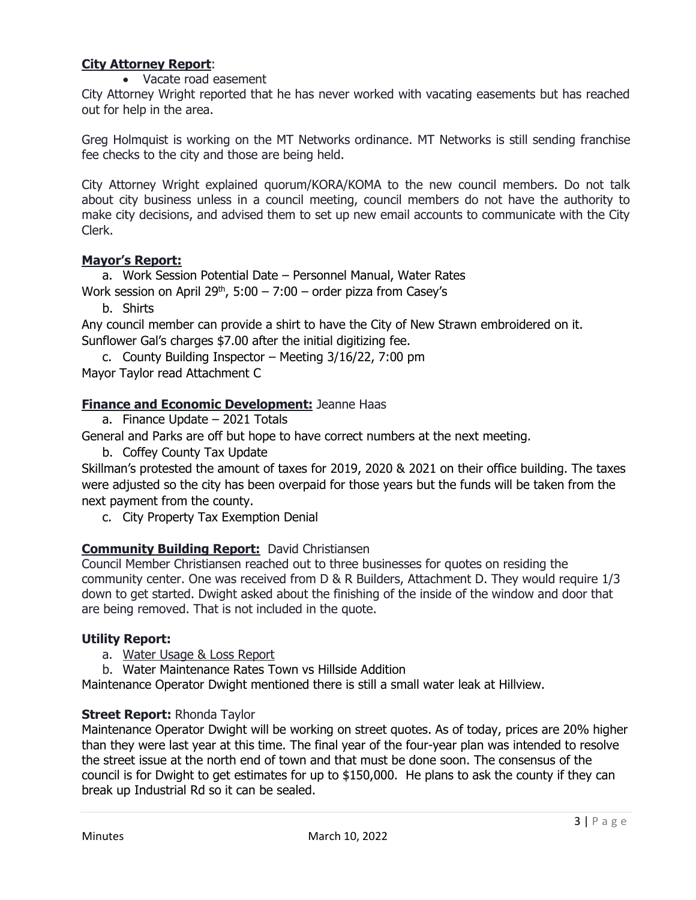# **City Attorney Report**:

• Vacate road easement

City Attorney Wright reported that he has never worked with vacating easements but has reached out for help in the area.

Greg Holmquist is working on the MT Networks ordinance. MT Networks is still sending franchise fee checks to the city and those are being held.

City Attorney Wright explained quorum/KORA/KOMA to the new council members. Do not talk about city business unless in a council meeting, council members do not have the authority to make city decisions, and advised them to set up new email accounts to communicate with the City Clerk.

## **Mayor's Report:**

a. Work Session Potential Date – Personnel Manual, Water Rates Work session on April 29<sup>th</sup>,  $5:00 - 7:00 -$  order pizza from Casey's

b. Shirts

Any council member can provide a shirt to have the City of New Strawn embroidered on it. Sunflower Gal's charges \$7.00 after the initial digitizing fee.

c. County Building Inspector – Meeting 3/16/22, 7:00 pm Mayor Taylor read Attachment C

## **Finance and Economic Development:** Jeanne Haas

a. Finance Update – 2021 Totals

General and Parks are off but hope to have correct numbers at the next meeting.

b. Coffey County Tax Update

Skillman's protested the amount of taxes for 2019, 2020 & 2021 on their office building. The taxes were adjusted so the city has been overpaid for those years but the funds will be taken from the next payment from the county.

c. City Property Tax Exemption Denial

# **Community Building Report:** David Christiansen

Council Member Christiansen reached out to three businesses for quotes on residing the community center. One was received from D & R Builders, Attachment D. They would require 1/3 down to get started. Dwight asked about the finishing of the inside of the window and door that are being removed. That is not included in the quote.

## **Utility Report:**

a. Water Usage & Loss Report

b. Water Maintenance Rates Town vs Hillside Addition

Maintenance Operator Dwight mentioned there is still a small water leak at Hillview.

## **Street Report:** Rhonda Taylor

Maintenance Operator Dwight will be working on street quotes. As of today, prices are 20% higher than they were last year at this time. The final year of the four-year plan was intended to resolve the street issue at the north end of town and that must be done soon. The consensus of the council is for Dwight to get estimates for up to \$150,000. He plans to ask the county if they can break up Industrial Rd so it can be sealed.